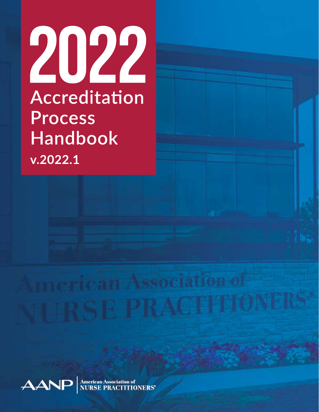



**American Association of<br>NURSE PRACTITIONERS®**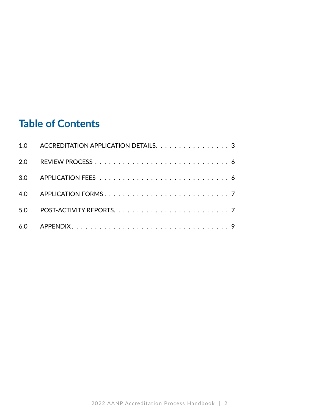### **Table of Contents**

|     | 1.0 ACCREDITATION APPLICATION DETAILS. 3 |
|-----|------------------------------------------|
| 2.0 |                                          |
|     |                                          |
|     |                                          |
| 5.0 |                                          |
|     |                                          |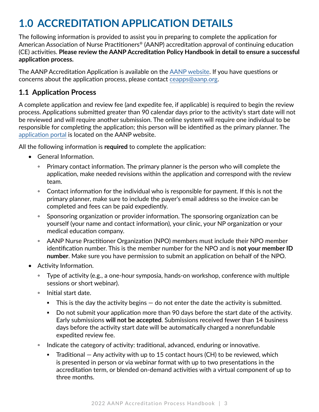## **1.0 ACCREDITATION APPLICATION DETAILS**

The following information is provided to assist you in preparing to complete the application for American Association of Nurse Practitioners® (AANP) accreditation approval of continuing education (CE) activities. **Please review the AANP Accreditation Policy Handbook in detail to ensure a successful application process.**

The AANP Accreditation Application is available on the [AANP website](mailto:https://www.aanp.org/education/ce-accreditation?subject=). If you have questions or concerns about the application process, please contact [ceapps@aanp.org](mailto:ceapps@aanp.org).

#### **1.1 Application Process**

A complete application and review fee (and expedite fee, if applicable) is required to begin the review process. Applications submitted greater than 90 calendar days prior to the activity's start date will not be reviewed and will require another submission. The online system will require one individual to be responsible for completing the application; this person will be identified as the primary planner. The [application portal](https://www.aanp.org/education/ce-accreditation) is located on the AANP website.

All the following information is **required** to complete the application:

- General Information.
	- Primary contact information. The primary planner is the person who will complete the application, make needed revisions within the application and correspond with the review team.
	- Contact information for the individual who is responsible for payment. If this is not the primary planner, make sure to include the payer's email address so the invoice can be completed and fees can be paid expediently.
	- Sponsoring organization or provider information. The sponsoring organization can be yourself (your name and contact information), your clinic, your NP organization or your medical education company.
	- AANP Nurse Practitioner Organization (NPO) members must include their NPO member identification number. This is the member number for the NPO and is **not your member ID number**. Make sure you have permission to submit an application on behalf of the NPO.
- Activity Information.
	- Type of activity (e.g., a one-hour symposia, hands-on workshop, conference with multiple sessions or short webinar).
	- Initial start date.
		- $\blacksquare$  This is the day the activity begins  $-$  do not enter the date the activity is submitted.
		- Do not submit your application more than 90 days before the start date of the activity. Early submissions **will not be accepted**. Submissions received fewer than 14 business days before the activity start date will be automatically charged a nonrefundable expedited review fee.
	- Indicate the category of activity: traditional, advanced, enduring or innovative.
		- **•** Traditional  $-$  Any activity with up to 15 contact hours (CH) to be reviewed, which is presented in person or via webinar format with up to two presentations in the accreditation term, or blended on-demand activities with a virtual component of up to three months.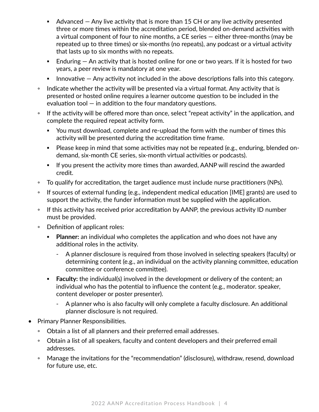- $\blacksquare$  Advanced  $-$  Any live activity that is more than 15 CH or any live activity presented three or more times within the accreditation period, blended on-demand activities with a virtual component of four to nine months, a CE series — either three-months (may be repeated up to three times) or six-months (no repeats), any podcast or a virtual activity that lasts up to six months with no repeats.
- $\blacksquare$  Enduring  $-$  An activity that is hosted online for one or two years. If it is hosted for two years, a peer review is mandatory at one year.
- Innovative  $-$  Any activity not included in the above descriptions falls into this category.
- Indicate whether the activity will be presented via a virtual format. Any activity that is presented or hosted online requires a learner outcome question to be included in the evaluation tool  $-$  in addition to the four mandatory questions.
- If the activity will be offered more than once, select "repeat activity" in the application, and complete the required repeat activity form.
	- You must download, complete and re-upload the form with the number of times this activity will be presented during the accreditation time frame.
	- Please keep in mind that some activities may not be repeated (e.g., enduring, blended ondemand, six-month CE series, six-month virtual activities or podcasts).
	- **EXT** If you present the activity more times than awarded, AANP will rescind the awarded credit.
- To qualify for accreditation, the target audience must include nurse practitioners (NPs).
- If sources of external funding (e.g., independent medical education [IME] grants) are used to support the activity, the funder information must be supplied with the application.
- If this activity has received prior accreditation by AANP, the previous activity ID number must be provided.
- Definition of applicant roles:
	- **Planner:** an individual who completes the application and who does not have any additional roles in the activity.
		- A planner disclosure is required from those involved in selecting speakers (faculty) or determining content (e.g., an individual on the activity planning committee, education committee or conference committee).
	- **Example 1** Faculty: the individual(s) involved in the development or delivery of the content; an individual who has the potential to influence the content (e.g., moderator. speaker, content developer or poster presenter).
		- A planner who is also faculty will only complete a faculty disclosure. An additional planner disclosure is not required.
- Primary Planner Responsibilities.
	- Obtain a list of all planners and their preferred email addresses.
	- Obtain a list of all speakers, faculty and content developers and their preferred email addresses.
	- Manage the invitations for the "recommendation" (disclosure), withdraw, resend, download for future use, etc.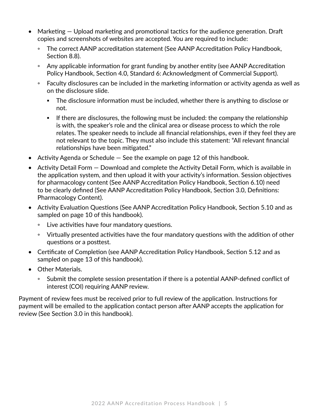- Marketing Upload marketing and promotional tactics for the audience generation. Draft copies and screenshots of websites are accepted. You are required to include:
	- The correct AANP accreditation statement (See AANP Accreditation Policy Handbook, Section 8.8).
	- Any applicable information for grant funding by another entity (see AANP Accreditation Policy Handbook, Section 4.0, Standard 6: Acknowledgment of Commercial Support).
	- Faculty disclosures can be included in the marketing information or activity agenda as well as on the disclosure slide.
		- The disclosure information must be included, whether there is anything to disclose or not.
		- If there are disclosures, the following must be included: the company the relationship is with, the speaker's role and the clinical area or disease process to which the role relates. The speaker needs to include all financial relationships, even if they feel they are not relevant to the topic. They must also include this statement: "All relevant financial relationships have been mitigated."
- Activity Agenda or Schedule  $-$  See the example on page 12 of this handbook.
- Activity Detail Form Download and complete the Activity Detail Form, which is available in the application system, and then upload it with your activity's information. Session objectives for pharmacology content (See AANP Accreditation Policy Handbook, Section 6.10) need to be clearly defined (See AANP Accreditation Policy Handbook, Section 3.0, Definitions: Pharmacology Content).
- Activity Evaluation Questions (See AANP Accreditation Policy Handbook, Section 5.10 and as sampled on page 10 of this handbook).
	- Live activities have four mandatory questions.
	- Virtually presented activities have the four mandatory questions with the addition of other questions or a posttest.
- Certificate of Completion (see AANP Accreditation Policy Handbook, Section 5.12 and as sampled on page 13 of this handbook).
- Other Materials.
	- Submit the complete session presentation if there is a potential AANP-defined conflict of interest (COI) requiring AANP review.

Payment of review fees must be received prior to full review of the application. Instructions for payment will be emailed to the application contact person after AANP accepts the application for review (See Section 3.0 in this handbook).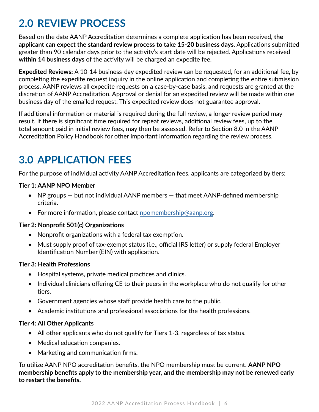## **2.0 REVIEW PROCESS**

Based on the date AANP Accreditation determines a complete application has been received, **the applicant can expect the standard review process to take 15-20 business days**. Applications submitted greater than 90 calendar days prior to the activity's start date will be rejected. Applications received **within 14 business days** of the activity will be charged an expedite fee.

**Expedited Reviews:** A 10-14 business-day expedited review can be requested, for an additional fee, by completing the expedite request inquiry in the online application and completing the entire submission process. AANP reviews all expedite requests on a case-by-case basis, and requests are granted at the discretion of AANP Accreditation. Approval or denial for an expedited review will be made within one business day of the emailed request. This expedited review does not guarantee approval.

If additional information or material is required during the full review, a longer review period may result. If there is significant time required for repeat reviews, additional review fees, up to the total amount paid in initial review fees, may then be assessed. Refer to Section 8.0 in the AANP Accreditation Policy Handbook for other important information regarding the review process.

## **3.0 APPLICATION FEES**

For the purpose of individual activity AANP Accreditation fees, applicants are categorized by tiers:

#### **Tier 1: AANP NPO Member**

- NP groups but not individual AANP members that meet AANP-defined membership criteria.
- For more information, please contact [npomembership@aanp.org](mailto:npomembership@aanp.org).

#### **Tier 2: Nonprofit 501(c) Organizations**

- Nonprofit organizations with a federal tax exemption.
- Must supply proof of tax-exempt status (i.e., official IRS letter) or supply federal Employer Identification Number (EIN) with application.

#### **Tier 3: Health Professions**

- Hospital systems, private medical practices and clinics.
- Individual clinicians offering CE to their peers in the workplace who do not qualify for other tiers.
- Government agencies whose staff provide health care to the public.
- Academic institutions and professional associations for the health professions.

#### **Tier 4: All Other Applicants**

- All other applicants who do not qualify for Tiers 1-3, regardless of tax status.
- Medical education companies.
- Marketing and communication firms.

To utilize AANP NPO accreditation benefits, the NPO membership must be current. **AANP NPO membership benefits apply to the membership year, and the membership may not be renewed early to restart the benefits.**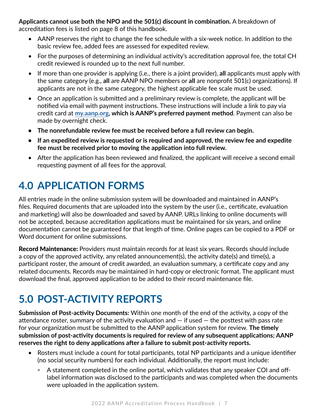**Applicants cannot use both the NPO and the 501(c) discount in combination.** A breakdown of accreditation fees is listed on page 8 of this handbook.

- AANP reserves the right to change the fee schedule with a six-week notice. In addition to the basic review fee, added fees are assessed for expedited review.
- For the purposes of determining an individual activity's accreditation approval fee, the total CH credit reviewed is rounded up to the next full number.
- If more than one provider is applying (i.e., there is a joint provider), **all** applicants must apply with the same category (e.g., **all** are AANP NPO members or **all** are nonprofit 501(c) organizations). If applicants are not in the same category, the highest applicable fee scale must be used.
- Once an application is submitted and a preliminary review is complete, the applicant will be notified via email with payment instructions. These instructions will include a link to pay via credit card at **[my.aanp.org,](http://my.aanp.org) which is AANP's preferred payment method**. Payment can also be made by overnight check.
- **• The nonrefundable review fee must be received before a full review can begin.**
- **• If an expedited review is requested or is required and approved, the review fee and expedite fee must be received prior to moving the application into full review.**
- After the application has been reviewed and finalized, the applicant will receive a second email requesting payment of all fees for the approval.

## **4.0 APPLICATION FORMS**

All entries made in the online submission system will be downloaded and maintained in AANP's files. Required documents that are uploaded into the system by the user (i.e., certificate, evaluation and marketing) will also be downloaded and saved by AANP. URLs linking to online documents will not be accepted, because accreditation applications must be maintained for six years, and online documentation cannot be guaranteed for that length of time. Online pages can be copied to a PDF or Word document for online submissions.

Record Maintenance: Providers must maintain records for at least six years. Records should include a copy of the approved activity, any related announcement(s), the activity date(s) and time(s), a participant roster, the amount of credit awarded, an evaluation summary, a certificate copy and any related documents. Records may be maintained in hard-copy or electronic format. The applicant must download the final, approved application to be added to their record maintenance file.

## **5.0 POST-ACTIVITY REPORTS**

**Submission of Post-activity Documents:** Within one month of the end of the activity, a copy of the attendance roster, summary of the activity evaluation and  $-$  if used  $-$  the posttest with pass rate for your organization must be submitted to the AANP application system for review. **The timely submission of post-activity documents is required for review of any subsequent applications; AANP reserves the right to deny applications after a failure to submit post-activity reports.**

- Rosters must include a count for total participants, total NP participants and a unique identifier (no social security numbers) for each individual. Additionally, the report must include:
	- A statement completed in the online portal, which validates that any speaker COI and offlabel information was disclosed to the participants and was completed when the documents were uploaded in the application system.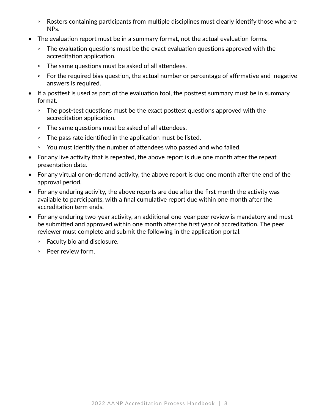- Rosters containing participants from multiple disciplines must clearly identify those who are NPs.
- The evaluation report must be in a summary format, not the actual evaluation forms.
	- The evaluation questions must be the exact evaluation questions approved with the accreditation application.
	- The same questions must be asked of all attendees.
	- For the required bias question, the actual number or percentage of affirmative and negative answers is required.
- If a posttest is used as part of the evaluation tool, the posttest summary must be in summary format.
	- The post-test questions must be the exact posttest questions approved with the accreditation application.
	- The same questions must be asked of all attendees.
	- The pass rate identified in the application must be listed.
	- You must identify the number of attendees who passed and who failed.
- For any live activity that is repeated, the above report is due one month after the repeat presentation date.
- For any virtual or on-demand activity, the above report is due one month after the end of the approval period.
- For any enduring activity, the above reports are due after the first month the activity was available to participants, with a final cumulative report due within one month after the accreditation term ends.
- For any enduring two-year activity, an additional one-year peer review is mandatory and must be submitted and approved within one month after the first year of accreditation. The peer reviewer must complete and submit the following in the application portal:
	- Faculty bio and disclosure.
	- Peer review form.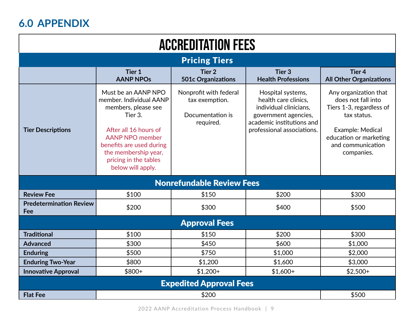## **6.0 APPENDIX**

| <b>ACCREDITATION FEES</b>             |                                                                                                                                                                                                                                       |                                                                           |                                                                                                                                                        |                                                                                                                                                                         |  |  |  |  |
|---------------------------------------|---------------------------------------------------------------------------------------------------------------------------------------------------------------------------------------------------------------------------------------|---------------------------------------------------------------------------|--------------------------------------------------------------------------------------------------------------------------------------------------------|-------------------------------------------------------------------------------------------------------------------------------------------------------------------------|--|--|--|--|
| <b>Pricing Tiers</b>                  |                                                                                                                                                                                                                                       |                                                                           |                                                                                                                                                        |                                                                                                                                                                         |  |  |  |  |
|                                       | Tier 1<br><b>AANP NPOs</b>                                                                                                                                                                                                            | Tier <sub>2</sub><br><b>501c Organizations</b>                            | Tier <sub>3</sub><br><b>Health Professions</b>                                                                                                         | Tier <sub>4</sub><br><b>All Other Organizations</b>                                                                                                                     |  |  |  |  |
| <b>Tier Descriptions</b>              | Must be an AANP NPO<br>member. Individual AANP<br>members, please see<br>Tier 3.<br>After all 16 hours of<br><b>AANP NPO member</b><br>benefits are used during<br>the membership year,<br>pricing in the tables<br>below will apply. | Nonprofit with federal<br>tax exemption.<br>Documentation is<br>required. | Hospital systems,<br>health care clinics,<br>individual clinicians,<br>government agencies,<br>academic institutions and<br>professional associations. | Any organization that<br>does not fall into<br>Tiers 1-3, regardless of<br>tax status.<br>Example: Medical<br>education or marketing<br>and communication<br>companies. |  |  |  |  |
| <b>Nonrefundable Review Fees</b>      |                                                                                                                                                                                                                                       |                                                                           |                                                                                                                                                        |                                                                                                                                                                         |  |  |  |  |
| <b>Review Fee</b>                     | \$100                                                                                                                                                                                                                                 | \$150                                                                     | \$200                                                                                                                                                  | \$300                                                                                                                                                                   |  |  |  |  |
| <b>Predetermination Review</b><br>Fee | \$200                                                                                                                                                                                                                                 | \$300                                                                     | \$400                                                                                                                                                  | \$500                                                                                                                                                                   |  |  |  |  |
| <b>Approval Fees</b>                  |                                                                                                                                                                                                                                       |                                                                           |                                                                                                                                                        |                                                                                                                                                                         |  |  |  |  |
| <b>Traditional</b>                    | \$100                                                                                                                                                                                                                                 | \$150                                                                     | \$200                                                                                                                                                  | \$300                                                                                                                                                                   |  |  |  |  |
| <b>Advanced</b>                       | \$300                                                                                                                                                                                                                                 | \$450                                                                     | \$600                                                                                                                                                  | \$1,000                                                                                                                                                                 |  |  |  |  |
| <b>Enduring</b>                       | \$500                                                                                                                                                                                                                                 | \$750                                                                     | \$1,000                                                                                                                                                | \$2,000                                                                                                                                                                 |  |  |  |  |
| <b>Enduring Two-Year</b>              | \$800                                                                                                                                                                                                                                 | \$1,200                                                                   | \$1,600                                                                                                                                                | \$3,000                                                                                                                                                                 |  |  |  |  |
| <b>Innovative Approval</b>            | $$800+$                                                                                                                                                                                                                               | $$1,200+$                                                                 | $$1,600+$                                                                                                                                              | $$2,500+$                                                                                                                                                               |  |  |  |  |
| <b>Expedited Approval Fees</b>        |                                                                                                                                                                                                                                       |                                                                           |                                                                                                                                                        |                                                                                                                                                                         |  |  |  |  |
| <b>Flat Fee</b>                       |                                                                                                                                                                                                                                       | \$200                                                                     |                                                                                                                                                        | \$500                                                                                                                                                                   |  |  |  |  |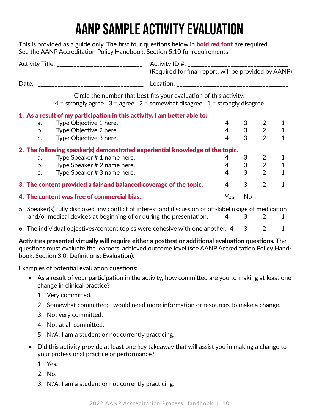# **AANP SAMPLE ACTIVITY EVALUATION**

This is provided as a guide only. The first four questions below in **bold red font** are required. See the AANP Accreditation Policy Handbook, Section 5.10 for requirements.

| Activity Title: ________________________________ |                                                                               |                                                                                                                                                        | (Required for final report; will be provided by AANP) |                |                             |   |  |
|--------------------------------------------------|-------------------------------------------------------------------------------|--------------------------------------------------------------------------------------------------------------------------------------------------------|-------------------------------------------------------|----------------|-----------------------------|---|--|
|                                                  | Date:                                                                         |                                                                                                                                                        |                                                       |                |                             |   |  |
|                                                  |                                                                               | Circle the number that best fits your evaluation of this activity:<br>$4 =$ strongly agree $3 =$ agree $2 =$ somewhat disagree $1 =$ strongly disagree |                                                       |                |                             |   |  |
|                                                  | 1. As a result of my participation in this activity, I am better able to:     |                                                                                                                                                        |                                                       |                |                             |   |  |
|                                                  | Type Objective 1 here.<br>a.                                                  |                                                                                                                                                        | 4                                                     |                | 2                           |   |  |
|                                                  | b.<br>Type Objective 2 here.                                                  |                                                                                                                                                        |                                                       |                | $4 \quad 3 \quad 2 \quad 1$ |   |  |
|                                                  | Type Objective 3 here.<br>$\mathsf{C}$ .                                      |                                                                                                                                                        | 4                                                     | 3              | $\overline{2}$              |   |  |
|                                                  | 2. The following speaker(s) demonstrated experiential knowledge of the topic. |                                                                                                                                                        |                                                       |                |                             |   |  |
|                                                  | Type Speaker # 1 name here.<br>a.                                             |                                                                                                                                                        | 4                                                     | 3              | $\overline{2}$              |   |  |
|                                                  | b.<br>Type Speaker # 2 name here.                                             |                                                                                                                                                        | $4 -$                                                 | 3 <sup>7</sup> | $2^{\sim}$                  |   |  |
|                                                  | Type Speaker # 3 name here.<br>$C_{\bullet}$                                  |                                                                                                                                                        | $\overline{4}$                                        | 3              | $\overline{2}$              |   |  |
|                                                  | 3. The content provided a fair and balanced coverage of the topic.            |                                                                                                                                                        | $\overline{4}$                                        | 3              | 2                           | 1 |  |
| 4. The content was free of commercial bias.      |                                                                               |                                                                                                                                                        | Yes                                                   | No             |                             |   |  |

- 5. Speaker(s) fully disclosed any conflict of interest and discussion of off-label usage of medication and/or medical devices at beginning of or during the presentation.  $4 \times 3 \times 2 \times 1$
- 6. The individual objectives/content topics were cohesive with one another.  $4 \quad 3 \quad 2 \quad 1$

**Activities presented virtually will require either a posttest or additional evaluation questions.** The questions must evaluate the learners' achieved outcome level (see AANP Accreditation Policy Handbook, Section 3.0, Definitions: Evaluation).

Examples of potential evaluation questions:

- As a result of your participation in the activity, how committed are you to making at least one change in clinical practice?
	- 1. Very committed.
	- 2. Somewhat committed; I would need more information or resources to make a change.
	- 3. Not very committed.
	- 4. Not at all committed.
	- 5. N/A; I am a student or not currently practicing.
- Did this activity provide at least one key takeaway that will assist you in making a change to your professional practice or performance?
	- 1. Yes.
	- 2. No.
	- 3. N/A; I am a student or not currently practicing.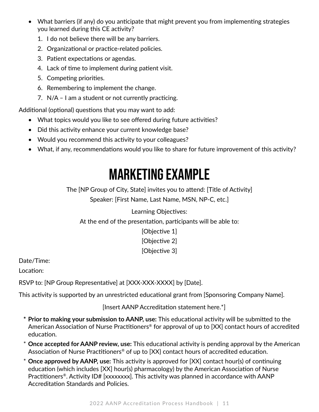- What barriers (if any) do you anticipate that might prevent you from implementing strategies you learned during this CE activity?
	- 1. I do not believe there will be any barriers.
	- 2. Organizational or practice-related policies.
	- 3. Patient expectations or agendas.
	- 4. Lack of time to implement during patient visit.
	- 5. Competing priorities.
	- 6. Remembering to implement the change.
	- 7. N/A I am a student or not currently practicing.

Additional (optional) questions that you may want to add:

- What topics would you like to see offered during future activities?
- Did this activity enhance your current knowledge base?
- Would you recommend this activity to your colleagues?
- What, if any, recommendations would you like to share for future improvement of this activity?

# **MARKETING EXAMPLE**

The [NP Group of City, State] invites you to attend: [Title of Activity] Speaker: [First Name, Last Name, MSN, NP-C, etc.]

#### Learning Objectives:

At the end of the presentation, participants will be able to:

[Objective 1] [Objective 2] [Objective 3]

Date/Time:

Location:

RSVP to: [NP Group Representative] at [XXX-XXX-XXXX] by [Date].

This activity is supported by an unrestricted educational grant from [Sponsoring Company Name].

[Insert AANP Accreditation statement here.\*]

- **\* Prior to making your submission to AANP, use:** This educational activity will be submitted to the American Association of Nurse Practitioners® for approval of up to [XX] contact hours of accredited education.
- \* **Once accepted for AANP review, use:** This educational activity is pending approval by the American Association of Nurse Practitioners<sup>®</sup> of up to [XX] contact hours of accredited education.
- \* **Once approved by AANP, use:** This activity is approved for [XX] contact hour(s) of continuing education (which includes [XX] hour(s) pharmacology) by the American Association of Nurse Practitioners<sup>®</sup>. Activity ID# [xxxxxxxx]. This activity was planned in accordance with AANP Accreditation Standards and Policies.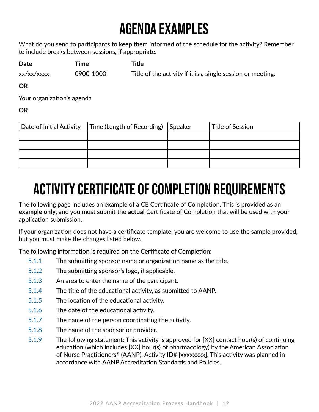# **AGENDA EXAMPLES**

What do you send to participants to keep them informed of the schedule for the activity? Remember to include breaks between sessions, if appropriate.

**Date Time Title** 

 $xx/xx/xxxx$  0900-1000 Title of the activity if it is a single session or meeting.

**OR**

Your organization's agenda

**OR**

| Date of Initial Activity | Time (Length of Recording) | Speaker | Title of Session |
|--------------------------|----------------------------|---------|------------------|
|                          |                            |         |                  |
|                          |                            |         |                  |
|                          |                            |         |                  |
|                          |                            |         |                  |

# **ACTIVITY CERTIFICATE OF COMPLETION REQUIREMENTS**

The following page includes an example of a CE Certificate of Completion. This is provided as an **example only**, and you must submit the **actual** Certificate of Completion that will be used with your application submission.

If your organization does not have a certificate template, you are welcome to use the sample provided, but you must make the changes listed below.

The following information is required on the Certificate of Completion:

- 5.1.1 The submitting sponsor name or organization name as the title.
- 5.1.2 The submitting sponsor's logo, if applicable.
- 5.1.3 An area to enter the name of the participant.
- 5.1.4 The title of the educational activity, as submitted to AANP.
- 5.1.5 The location of the educational activity.
- 5.1.6 The date of the educational activity.
- 5.1.7 The name of the person coordinating the activity.
- 5.1.8 The name of the sponsor or provider.
- 5.1.9 The following statement: This activity is approved for [XX] contact hour(s) of continuing education (which includes [XX] hour(s) of pharmacology) by the American Association of Nurse Practitioners® (AANP). Activity ID# [xxxxxxxx]. This activity was planned in accordance with AANP Accreditation Standards and Policies.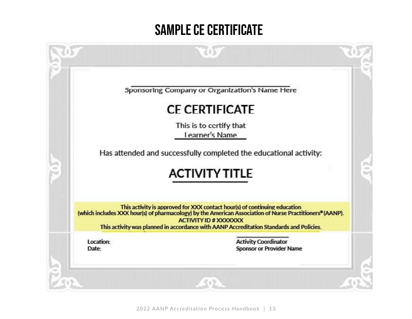## **SAMPLE CE CERTIFICATE**